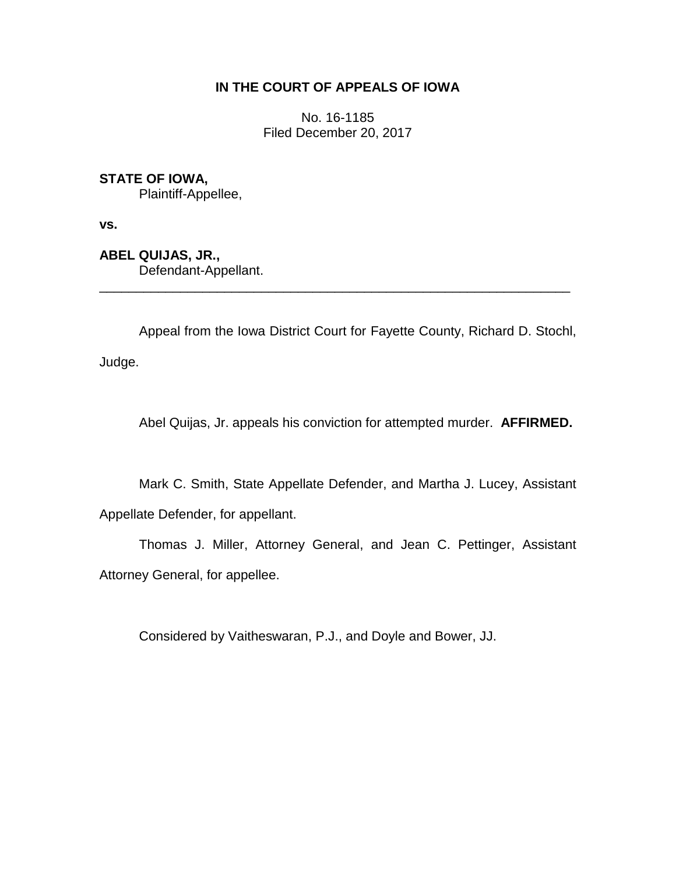# **IN THE COURT OF APPEALS OF IOWA**

No. 16-1185 Filed December 20, 2017

**STATE OF IOWA,**

Plaintiff-Appellee,

**vs.**

**ABEL QUIJAS, JR.,** Defendant-Appellant.

Appeal from the Iowa District Court for Fayette County, Richard D. Stochl, Judge.

\_\_\_\_\_\_\_\_\_\_\_\_\_\_\_\_\_\_\_\_\_\_\_\_\_\_\_\_\_\_\_\_\_\_\_\_\_\_\_\_\_\_\_\_\_\_\_\_\_\_\_\_\_\_\_\_\_\_\_\_\_\_\_\_

Abel Quijas, Jr. appeals his conviction for attempted murder. **AFFIRMED.**

Mark C. Smith, State Appellate Defender, and Martha J. Lucey, Assistant Appellate Defender, for appellant.

Thomas J. Miller, Attorney General, and Jean C. Pettinger, Assistant Attorney General, for appellee.

Considered by Vaitheswaran, P.J., and Doyle and Bower, JJ.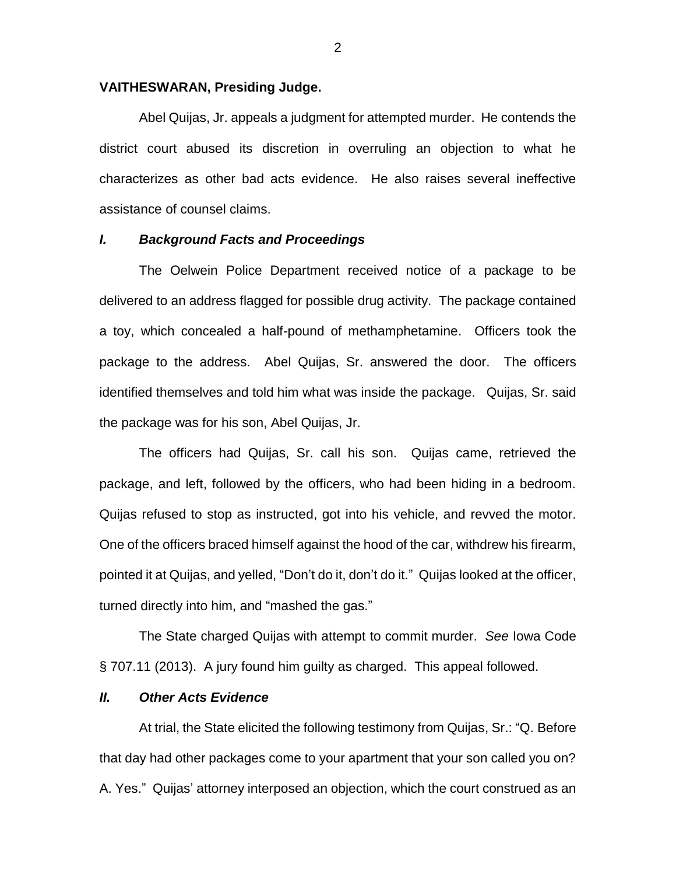#### **VAITHESWARAN, Presiding Judge.**

Abel Quijas, Jr. appeals a judgment for attempted murder. He contends the district court abused its discretion in overruling an objection to what he characterizes as other bad acts evidence. He also raises several ineffective assistance of counsel claims.

## *I. Background Facts and Proceedings*

The Oelwein Police Department received notice of a package to be delivered to an address flagged for possible drug activity. The package contained a toy, which concealed a half-pound of methamphetamine. Officers took the package to the address. Abel Quijas, Sr. answered the door. The officers identified themselves and told him what was inside the package. Quijas, Sr. said the package was for his son, Abel Quijas, Jr.

The officers had Quijas, Sr. call his son. Quijas came, retrieved the package, and left, followed by the officers, who had been hiding in a bedroom. Quijas refused to stop as instructed, got into his vehicle, and revved the motor. One of the officers braced himself against the hood of the car, withdrew his firearm, pointed it at Quijas, and yelled, "Don't do it, don't do it." Quijas looked at the officer, turned directly into him, and "mashed the gas."

The State charged Quijas with attempt to commit murder. *See* Iowa Code § 707.11 (2013). A jury found him guilty as charged. This appeal followed.

### *II. Other Acts Evidence*

At trial, the State elicited the following testimony from Quijas, Sr.: "Q. Before that day had other packages come to your apartment that your son called you on? A. Yes." Quijas' attorney interposed an objection, which the court construed as an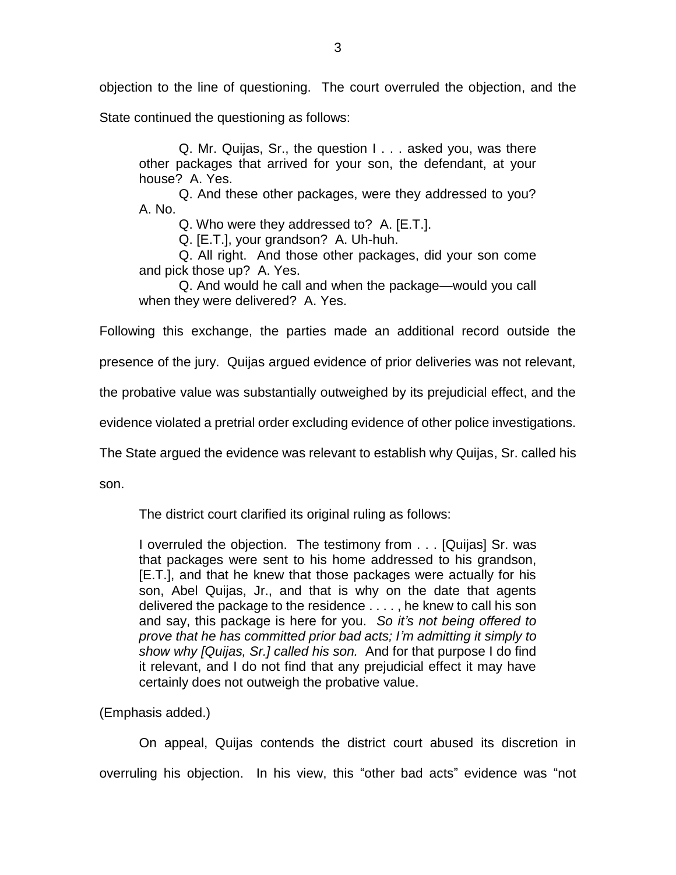objection to the line of questioning. The court overruled the objection, and the

State continued the questioning as follows:

Q. Mr. Quijas, Sr., the question I . . . asked you, was there other packages that arrived for your son, the defendant, at your house? A. Yes.

Q. And these other packages, were they addressed to you? A. No.

Q. Who were they addressed to? A. [E.T.].

Q. [E.T.], your grandson? A. Uh-huh.

Q. All right. And those other packages, did your son come and pick those up? A. Yes.

Q. And would he call and when the package—would you call when they were delivered? A. Yes.

Following this exchange, the parties made an additional record outside the

presence of the jury. Quijas argued evidence of prior deliveries was not relevant,

the probative value was substantially outweighed by its prejudicial effect, and the

evidence violated a pretrial order excluding evidence of other police investigations.

The State argued the evidence was relevant to establish why Quijas, Sr. called his

son.

The district court clarified its original ruling as follows:

I overruled the objection. The testimony from . . . [Quijas] Sr. was that packages were sent to his home addressed to his grandson, [E.T.], and that he knew that those packages were actually for his son, Abel Quijas, Jr., and that is why on the date that agents delivered the package to the residence . . . . , he knew to call his son and say, this package is here for you. *So it's not being offered to prove that he has committed prior bad acts; I'm admitting it simply to show why [Quijas, Sr.] called his son.* And for that purpose I do find it relevant, and I do not find that any prejudicial effect it may have certainly does not outweigh the probative value.

(Emphasis added.)

On appeal, Quijas contends the district court abused its discretion in overruling his objection. In his view, this "other bad acts" evidence was "not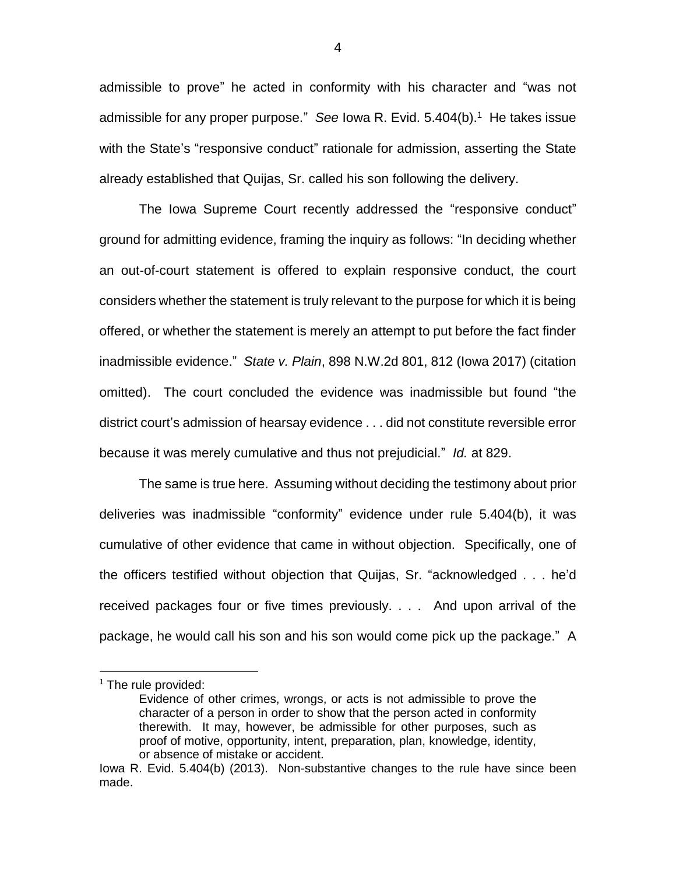admissible to prove" he acted in conformity with his character and "was not admissible for any proper purpose." *See* Iowa R. Evid. 5.404(b).<sup>1</sup> He takes issue with the State's "responsive conduct" rationale for admission, asserting the State already established that Quijas, Sr. called his son following the delivery.

The Iowa Supreme Court recently addressed the "responsive conduct" ground for admitting evidence, framing the inquiry as follows: "In deciding whether an out-of-court statement is offered to explain responsive conduct, the court considers whether the statement is truly relevant to the purpose for which it is being offered, or whether the statement is merely an attempt to put before the fact finder inadmissible evidence." *State v. Plain*, 898 N.W.2d 801, 812 (Iowa 2017) (citation omitted). The court concluded the evidence was inadmissible but found "the district court's admission of hearsay evidence . . . did not constitute reversible error because it was merely cumulative and thus not prejudicial." *Id.* at 829.

The same is true here. Assuming without deciding the testimony about prior deliveries was inadmissible "conformity" evidence under rule 5.404(b), it was cumulative of other evidence that came in without objection. Specifically, one of the officers testified without objection that Quijas, Sr. "acknowledged . . . he'd received packages four or five times previously. . . . And upon arrival of the package, he would call his son and his son would come pick up the package." A

 $\overline{a}$ 

4

<sup>&</sup>lt;sup>1</sup> The rule provided:

Evidence of other crimes, wrongs, or acts is not admissible to prove the character of a person in order to show that the person acted in conformity therewith. It may, however, be admissible for other purposes, such as proof of motive, opportunity, intent, preparation, plan, knowledge, identity, or absence of mistake or accident.

Iowa R. Evid. 5.404(b) (2013). Non-substantive changes to the rule have since been made.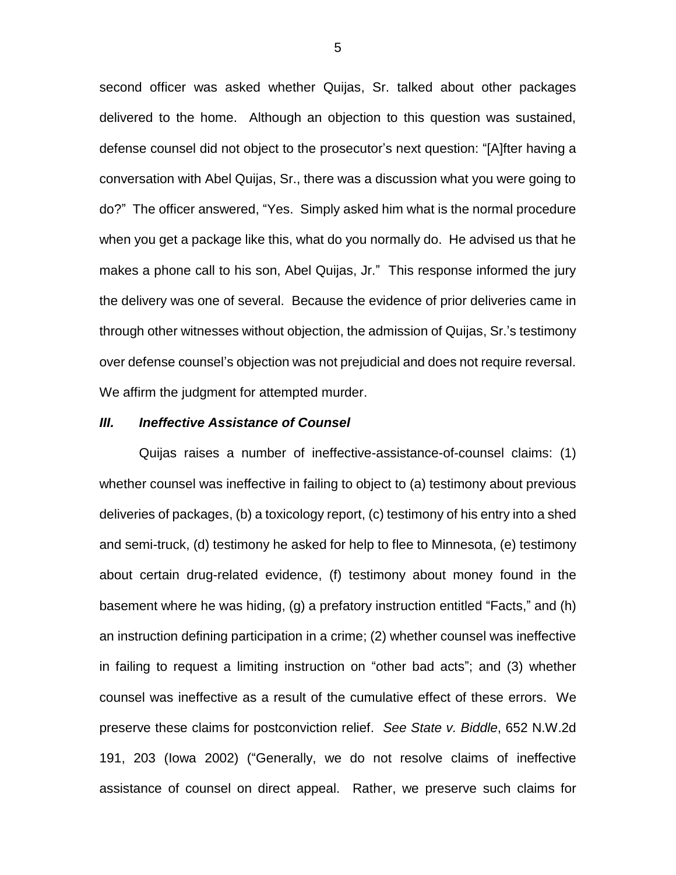second officer was asked whether Quijas, Sr. talked about other packages delivered to the home. Although an objection to this question was sustained, defense counsel did not object to the prosecutor's next question: "[A]fter having a conversation with Abel Quijas, Sr., there was a discussion what you were going to do?" The officer answered, "Yes. Simply asked him what is the normal procedure when you get a package like this, what do you normally do. He advised us that he makes a phone call to his son, Abel Quijas, Jr." This response informed the jury the delivery was one of several. Because the evidence of prior deliveries came in through other witnesses without objection, the admission of Quijas, Sr.'s testimony over defense counsel's objection was not prejudicial and does not require reversal. We affirm the judgment for attempted murder.

#### *III. Ineffective Assistance of Counsel*

Quijas raises a number of ineffective-assistance-of-counsel claims: (1) whether counsel was ineffective in failing to object to (a) testimony about previous deliveries of packages, (b) a toxicology report, (c) testimony of his entry into a shed and semi-truck, (d) testimony he asked for help to flee to Minnesota, (e) testimony about certain drug-related evidence, (f) testimony about money found in the basement where he was hiding, (g) a prefatory instruction entitled "Facts," and (h) an instruction defining participation in a crime; (2) whether counsel was ineffective in failing to request a limiting instruction on "other bad acts"; and (3) whether counsel was ineffective as a result of the cumulative effect of these errors. We preserve these claims for postconviction relief. *See State v. Biddle*, 652 N.W.2d 191, 203 (Iowa 2002) ("Generally, we do not resolve claims of ineffective assistance of counsel on direct appeal. Rather, we preserve such claims for

5